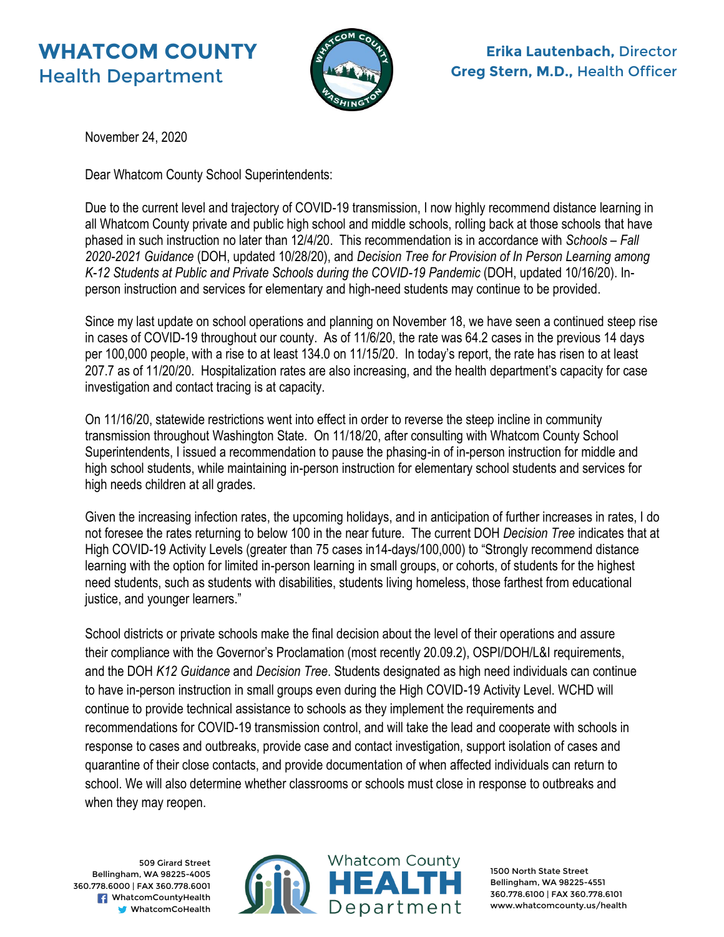## **WHATCOM COUNTY** Health Department



November 24, 2020

Dear Whatcom County School Superintendents:

Due to the current level and trajectory of COVID-19 transmission, I now highly recommend distance learning in all Whatcom County private and public high school and middle schools, rolling back at those schools that have phased in such instruction no later than 12/4/20. This recommendation is in accordance with *Schools – Fall 2020-2021 Guidance* (DOH, updated 10/28/20), and *Decision Tree for Provision of In Person Learning among K-12 Students at Public and Private Schools during the COVID-19 Pandemic* (DOH, updated 10/16/20). Inperson instruction and services for elementary and high-need students may continue to be provided.

Since my last update on school operations and planning on November 18, we have seen a continued steep rise in cases of COVID-19 throughout our county. As of 11/6/20, the rate was 64.2 cases in the previous 14 days per 100,000 people, with a rise to at least 134.0 on 11/15/20. In today's report, the rate has risen to at least 207.7 as of 11/20/20. Hospitalization rates are also increasing, and the health department's capacity for case investigation and contact tracing is at capacity.

On 11/16/20, statewide restrictions went into effect in order to reverse the steep incline in community transmission throughout Washington State. On 11/18/20, after consulting with Whatcom County School Superintendents, I issued a recommendation to pause the phasing-in of in-person instruction for middle and high school students, while maintaining in-person instruction for elementary school students and services for high needs children at all grades.

Given the increasing infection rates, the upcoming holidays, and in anticipation of further increases in rates, I do not foresee the rates returning to below 100 in the near future. The current DOH *Decision Tree* indicates that at High COVID-19 Activity Levels (greater than 75 cases in14-days/100,000) to "Strongly recommend distance learning with the option for limited in-person learning in small groups, or cohorts, of students for the highest need students, such as students with disabilities, students living homeless, those farthest from educational justice, and younger learners."

School districts or private schools make the final decision about the level of their operations and assure their compliance with the Governor's Proclamation (most recently 20.09.2), OSPI/DOH/L&I requirements, and the DOH *K12 Guidance* and *Decision Tree*. Students designated as high need individuals can continue to have in-person instruction in small groups even during the High COVID-19 Activity Level. WCHD will continue to provide technical assistance to schools as they implement the requirements and recommendations for COVID-19 transmission control, and will take the lead and cooperate with schools in response to cases and outbreaks, provide case and contact investigation, support isolation of cases and quarantine of their close contacts, and provide documentation of when affected individuals can return to school. We will also determine whether classrooms or schools must close in response to outbreaks and when they may reopen.

509 Girard Street Bellingham, WA 98225-4005 360.778.6000 | FAX 360.778.6001 **F** WhatcomCountyHealth WhatcomCoHealth



1500 North State Street Bellingham, WA 98225-4551 360.778.6100 | FAX 360.778.6101 www.whatcomcounty.us/health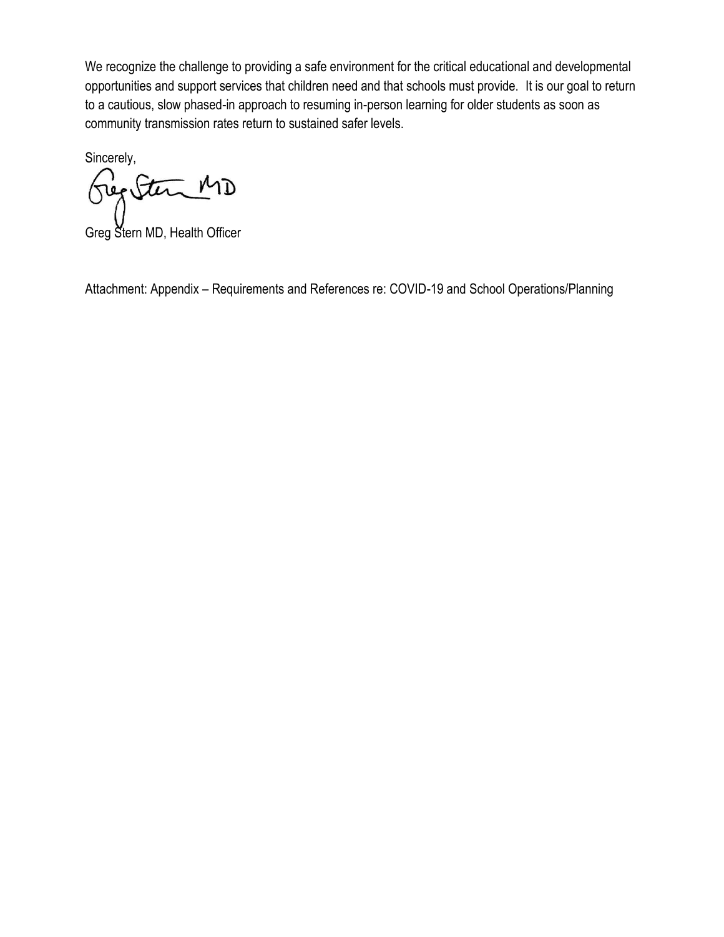We recognize the challenge to providing a safe environment for the critical educational and developmental opportunities and support services that children need and that schools must provide. It is our goal to return to a cautious, slow phased-in approach to resuming in-person learning for older students as soon as community transmission rates return to sustained safer levels.

Sincerely, Geg Stern MD

Greg Stern MD, Health Officer

Attachment: Appendix – Requirements and References re: COVID-19 and School Operations/Planning